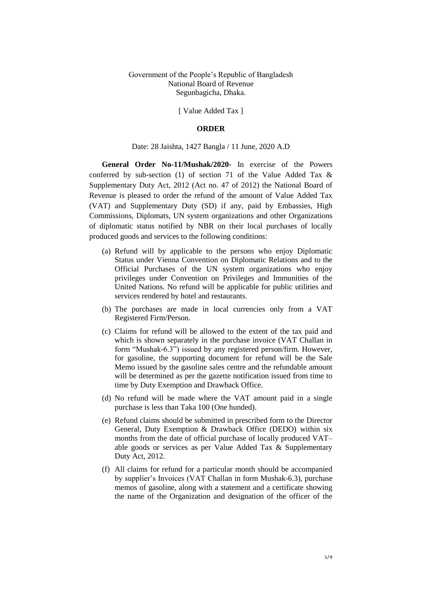Government of the People's Republic of Bangladesh National Board of Revenue Segunbagicha, Dhaka.

[ Value Added Tax ]

### **ORDER**

#### Date: 28 Jaishta, 1427 Bangla / 11 June, 2020 A.D

**General Order No-11/Mushak/2020-** In exercise of the Powers conferred by sub-section (1) of section 71 of the Value Added Tax & Supplementary Duty Act, 2012 (Act no. 47 of 2012) the National Board of Revenue is pleased to order the refund of the amount of Value Added Tax (VAT) and Supplementary Duty (SD) if any, paid by Embassies, High Commissions, Diplomats, UN system organizations and other Organizations of diplomatic status notified by NBR on their local purchases of locally produced goods and services to the following conditions:

- (a) Refund will by applicable to the persons who enjoy Diplomatic Status under Vienna Convention on Diplomatic Relations and to the Official Purchases of the UN system organizations who enjoy privileges under Convention on Privileges and Immunities of the United Nations. No refund will be applicable for public utilities and services rendered by hotel and restaurants.
- (b) The purchases are made in local currencies only from a VAT Registered Firm/Person.
- (c) Claims for refund will be allowed to the extent of the tax paid and which is shown separately in the purchase invoice (VAT Challan in form "Mushak-6.3") issued by any registered person/firm. However, for gasoline, the supporting document for refund will be the Sale Memo issued by the gasoline sales centre and the refundable amount will be determined as per the gazette notification issued from time to time by Duty Exemption and Drawback Office.
- (d) No refund will be made where the VAT amount paid in a single purchase is less than Taka 100 (One hunded).
- (e) Refund claims should be submitted in prescribed form to the Director General, Duty Exemption & Drawback Office (DEDO) within six months from the date of official purchase of locally produced VAT– able goods or services as per Value Added Tax & Supplementary Duty Act, 2012.
- (f) All claims for refund for a particular month should be accompanied by supplier's Invoices (VAT Challan in form Mushak-6.3), purchase memos of gasoline, along with a statement and a certificate showing the name of the Organization and designation of the officer of the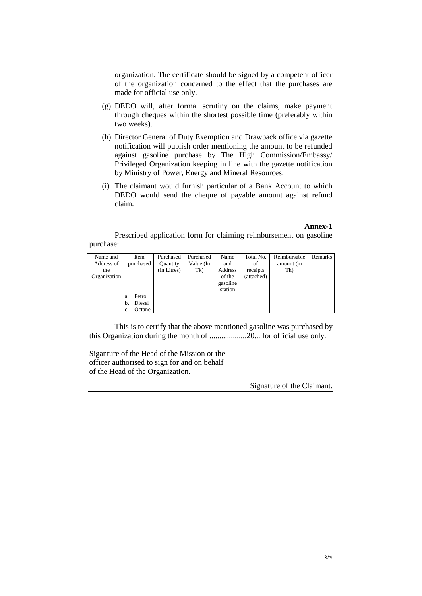organization. The certificate should be signed by a competent officer of the organization concerned to the effect that the purchases are made for official use only.

- (g) DEDO will, after formal scrutiny on the claims, make payment through cheques within the shortest possible time (preferably within two weeks).
- (h) Director General of Duty Exemption and Drawback office via gazette notification will publish order mentioning the amount to be refunded against gasoline purchase by The High Commission/Embassy/ Privileged Organization keeping in line with the gazette notification by Ministry of Power, Energy and Mineral Resources.
- (i) The claimant would furnish particular of a Bank Account to which DEDO would send the cheque of payable amount against refund claim.

### **Annex-1**

Prescribed application form for claiming reimbursement on gasoline purchase:

| Name and     | Item          | Purchased   | Purchased | Name     | Total No.  | Reimbursable | Remarks |
|--------------|---------------|-------------|-----------|----------|------------|--------------|---------|
| Address of   | purchased     | Quantity    | Value (In | and      | οf         | amount (in   |         |
| the          |               | (In Litres) | Tk)       | Address  | receipts   | Tk)          |         |
| Organization |               |             |           | of the   | (attached) |              |         |
|              |               |             |           | gasoline |            |              |         |
|              |               |             |           | station  |            |              |         |
|              | Petrol<br>a.  |             |           |          |            |              |         |
|              | Diesel<br>Ib. |             |           |          |            |              |         |
|              | Octane<br>c.  |             |           |          |            |              |         |

This is to certify that the above mentioned gasoline was purchased by this Organization during the month of ...................20... for official use only.

Siganture of the Head of the Mission or the officer authorised to sign for and on behalf of the Head of the Organization.

Signature of the Claimant.